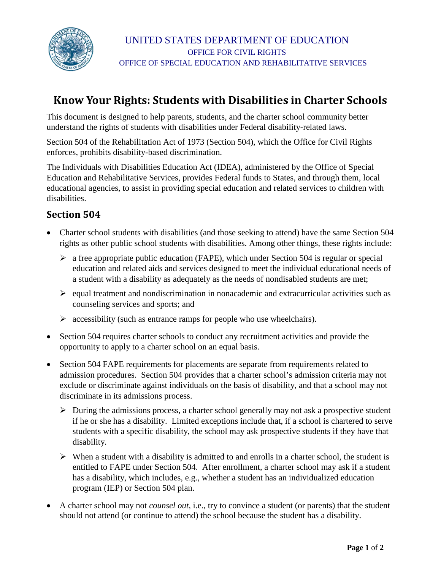

# **Know Your Rights: Students with Disabilities in Charter Schools**

This document is designed to help parents, students, and the charter school community better understand the rights of students with disabilities under Federal disability-related laws.

Section 504 of the Rehabilitation Act of 1973 (Section 504), which the Office for Civil Rights enforces, prohibits disability-based discrimination.

The Individuals with Disabilities Education Act (IDEA), administered by the Office of Special Education and Rehabilitative Services, provides Federal funds to States, and through them, local educational agencies, to assist in providing special education and related services to children with disabilities.

### **Section 504**

- Charter school students with disabilities (and those seeking to attend) have the same Section 504 rights as other public school students with disabilities. Among other things, these rights include:
	- $\triangleright$  a free appropriate public education (FAPE), which under Section 504 is regular or special education and related aids and services designed to meet the individual educational needs of a student with a disability as adequately as the needs of nondisabled students are met;
	- $\triangleright$  equal treatment and nondiscrimination in nonacademic and extracurricular activities such as counseling services and sports; and
	- $\triangleright$  accessibility (such as entrance ramps for people who use wheelchairs).
- Section 504 requires charter schools to conduct any recruitment activities and provide the opportunity to apply to a charter school on an equal basis.
- Section 504 FAPE requirements for placements are separate from requirements related to admission procedures. Section 504 provides that a charter school's admission criteria may not exclude or discriminate against individuals on the basis of disability, and that a school may not discriminate in its admissions process.
	- $\triangleright$  During the admissions process, a charter school generally may not ask a prospective student if he or she has a disability. Limited exceptions include that, if a school is chartered to serve students with a specific disability, the school may ask prospective students if they have that disability.
	- $\triangleright$  When a student with a disability is admitted to and enrolls in a charter school, the student is entitled to FAPE under Section 504. After enrollment, a charter school may ask if a student has a disability, which includes, e.g., whether a student has an individualized education program (IEP) or Section 504 plan.
- A charter school may not *counsel out,* i.e., try to convince a student (or parents) that the student should not attend (or continue to attend) the school because the student has a disability.